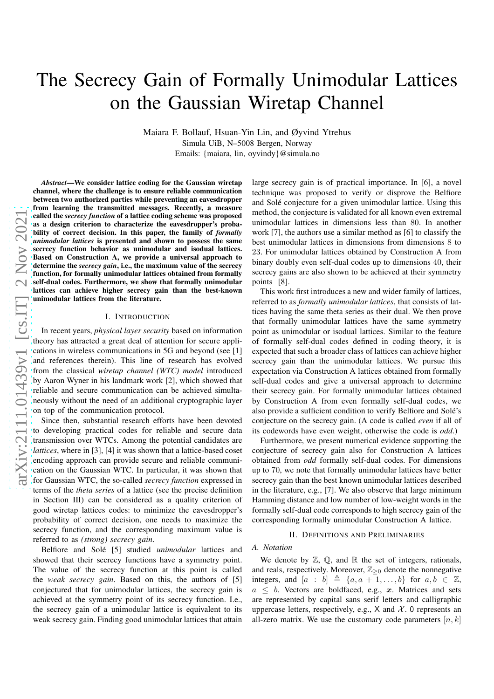# The Secrecy Gain of Formally Unimodular Lattices on the Gaussian Wiretap Channel

Maiara F. Bollauf, Hsuan-Yin Lin, and Øyvind Ytrehus Simula UiB, N–5008 Bergen, Norway Emails: {maiara, lin, oyvindy}@simula.no

*Abstract*—We consider lattice coding for the Gaussian wiretap channel, where the challenge is to ensure reliable communication between two authorized parties while preventing an eavesdropper from learning the transmitted messages. Recently, a measur e called the *secrecy function* of a lattice coding scheme was proposed as a design criterion to characterize the eavesdropper's probability of correct decision. In this paper, the family of *formally unimodular lattices* is presented and shown to possess the same secrecy function behavior as unimodular and isodual lattices. Based on Construction A, we provide a universal approach to determine the *secrecy gain*, i.e., the maximum value of the secrecy function, for formally unimodular lattices obtained from formally self-dual codes. Furthermore, we show that formally unimodular lattices can achieve higher secrecy gain than the best-know n unimodular lattices from the literature.

#### I. INTRODUCTION

In recent years, *physical layer security* based on information theory has attracted a great deal of attention for secure applications in wireless communications in 5G and beyond (see [\[1\]](#page-6-0) and references therein). This line of research has evolved from the classical *wiretap channel (WTC) model* introduced by Aaron Wyner in his landmark work [\[2\]](#page-6-1), which showed that reliable and secure communication can be achieved simultaneously without the need of an additional cryptographic layer on top of the communication protocol.

Since then, substantial research efforts have been devoted to developing practical codes for reliable and secure data transmission over WTCs. Among the potential candidates are *lattices*, where in [\[3\]](#page-6-2), [\[4\]](#page-6-3) it was shown that a lattice-based coset encoding approach can provide secure and reliable communication on the Gaussian WTC. In particular, it was shown that for Gaussian WTC, the so-called *secrecy function* expressed in terms of the *theta series* of a lattice (see the precise definition in Section [III\)](#page-2-0) can be considered as a quality criterion of good wiretap lattices codes: to minimize the eavesdropper' s probability of correct decision, one needs to maximize the secrecy function, and the corresponding maximum value is referred to as *(strong) secrecy gain* .

Belfiore and Solé [\[5\]](#page-6-4) studied *unimodular* lattices and showed that their secrecy functions have a symmetry point. The value of the secrecy function at this point is called the *weak secrecy gain*. Based on this, the authors of [\[5\]](#page-6-4) conjectured that for unimodular lattices, the secrecy gain is achieved at the symmetry point of its secrecy function. I.e. , the secrecy gain of a unimodular lattice is equivalent to its weak secrecy gain. Finding good unimodular lattices that attain

large secrecy gain is of practical importance. In [\[6\]](#page-6-5), a nove l technique was proposed to verify or disprove the Belfiore and Solé conjecture for a given unimodular lattice. Using this method, the conjecture is validated for all known even extremal unimodular lattices in dimensions less than 80. In another work [\[7\]](#page-6-6), the authors use a similar method as [\[6\]](#page-6-5) to classify the best unimodular lattices in dimensions from dimensions 8 to 23. For unimodular lattices obtained by Construction A from binary doubly even self-dual codes up to dimensions 40, their secrecy gains are also shown to be achieved at their symmetry points [\[8\]](#page-6-7).

This work first introduces a new and wider family of lattices, referred to as *formally unimodular lattices*, that consists of lattices having the same theta series as their dual. We then prove that formally unimodular lattices have the same symmetry point as unimodular or isodual lattices. Similar to the feature of formally self-dual codes defined in coding theory, it is expected that such a broader class of lattices can achieve higher secrecy gain than the unimodular lattices. We pursue this expectation via Construction A lattices obtained from formally self-dual codes and give a universal approach to determine their secrecy gain. For formally unimodular lattices obtained by Construction A from even formally self-dual codes, we also provide a sufficient condition to verify Belfiore and Solé's conjecture on the secrecy gain. (A code is called *even* if all of its codewords have even weight, otherwise the code is *odd*.)

Furthermore, we present numerical evidence supporting the conjecture of secrecy gain also for Construction A lattices obtained from *odd* formally self-dual codes. For dimensions up to 70, we note that formally unimodular lattices have better secrecy gain than the best known unimodular lattices described in the literature, e.g., [\[7\]](#page-6-6). We also observe that large minimum Hamming distance and low number of low-weight words in the formally self-dual code corresponds to high secrecy gain of the corresponding formally unimodular Construction A lattice .

#### II. DEFINITIONS AND PRELIMINARIES

#### *A. Notation*

We denote by  $\mathbb{Z}$ ,  $\mathbb{Q}$ , and  $\mathbb{R}$  the set of integers, rationals, and reals, respectively. Moreover,  $\mathbb{Z}_{\geq 0}$  denote the nonnegative integers, and  $[a : b] \triangleq \{a, a+1, \ldots, b\}$  for  $a, b \in \mathbb{Z}$ ,  $a \leq b$ . Vectors are boldfaced, e.g., x. Matrices and sets are represented by capital sans serif letters and calligraphic uppercase letters, respectively, e.g.,  $X$  and  $X$ . 0 represents an all-zero matrix. We use the customary code parameters  $[n, k]$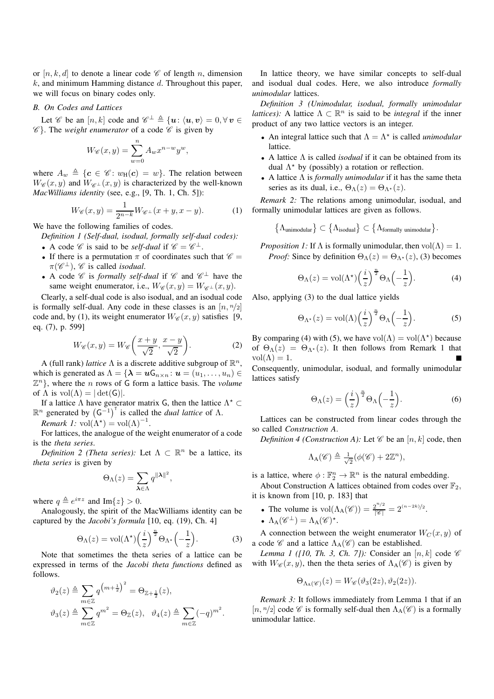or  $[n, k, d]$  to denote a linear code  $\mathscr C$  of length n, dimension  $k$ , and minimum Hamming distance  $d$ . Throughout this paper, we will focus on binary codes only.

## *B. On Codes and Lattices*

Let  $\mathscr C$  be an  $[n, k]$  code and  $\mathscr C^{\perp} \triangleq \{u: \langle u, v \rangle = 0, \forall v \in$  $\mathscr{C}$ . The *weight enumerator* of a code  $\mathscr{C}$  is given by

$$
W_{\mathscr{C}}(x,y) = \sum_{w=0}^{n} A_w x^{n-w} y^w,
$$

where  $A_w \triangleq \{c \in \mathcal{C} : w_H(c) = w\}$ . The relation between  $W_{\mathscr{C}}(x, y)$  and  $W_{\mathscr{C}^{\perp}}(x, y)$  is characterized by the well-known *MacWilliams identity* (see, e.g., [\[9,](#page-6-8) Th. 1, Ch. 5]):

$$
W_{\mathscr{C}}(x,y) = \frac{1}{2^{n-k}} W_{\mathscr{C}^\perp}(x+y,x-y). \tag{1}
$$

We have the following families of codes.

*Definition 1 (Self-dual, isodual, formally self-dual codes):*

- A code  $\mathscr C$  is said to be *self-dual* if  $\mathscr C = \mathscr C^{\perp}$ .
- If there is a permutation  $\pi$  of coordinates such that  $\mathscr{C} =$  $\pi(\mathscr{C}^{\perp})$ ,  $\mathscr{C}$  is called *isodual*.
- A code  $\mathscr C$  is *formally self-dual* if  $\mathscr C$  and  $\mathscr C^{\perp}$  have the same weight enumerator, i.e.,  $W_{\mathscr{C}}(x, y) = W_{\mathscr{C}^{\perp}}(x, y)$ .

Clearly, a self-dual code is also isodual, and an isodual code is formally self-dual. Any code in these classes is an  $[n, n/2]$ code and, by [\(1\)](#page-1-0), its weight enumerator  $W_{\mathscr{C}}(x, y)$  satisfies [\[9,](#page-6-8) eq. (7), p. 599]

$$
W_{\mathscr{C}}(x,y) = W_{\mathscr{C}}\left(\frac{x+y}{\sqrt{2}}, \frac{x-y}{\sqrt{2}}\right).
$$
 (2)

A (full rank) *lattice*  $\Lambda$  is a discrete additive subgroup of  $\mathbb{R}^n$ , which is generated as  $\Lambda = {\lambda = u_{n \times n} : u = (u_1, \dots, u_n) \in \Lambda}$  $\mathbb{Z}^n$ , where the *n* rows of G form a lattice basis. The *volume* of  $\Lambda$  is  $vol(\Lambda) = |\det(G)|$ .

If a lattice  $\Lambda$  have generator matrix G, then the lattice  $\Lambda^*$   $\subset$  $\mathbb{R}^n$  generated by  $(G^{-1})^T$  is called the *dual lattice* of  $\Lambda$ .

<span id="page-1-4"></span>*Remark 1:*  $vol(\Lambda^*) = vol(\Lambda)^{-1}$ .

For lattices, the analogue of the weight enumerator of a code is the *theta series*.

*Definition 2 (Theta series):* Let  $\Lambda \subset \mathbb{R}^n$  be a lattice, its *theta series* is given by

$$
\Theta_{\Lambda}(z) = \sum_{\lambda \in \Lambda} q^{\|\lambda\|^2},
$$

where  $q \triangleq e^{i\pi z}$  and Im{z} > 0.

Analogously, the spirit of the MacWilliams identity can be captured by the *Jacobi's formula* [\[10,](#page-6-9) eq. (19), Ch. 4]

$$
\Theta_{\Lambda}(z) = \text{vol}(\Lambda^{\star}) \left(\frac{i}{z}\right)^{\frac{n}{2}} \Theta_{\Lambda^{\star}} \left(-\frac{1}{z}\right). \tag{3}
$$

Note that sometimes the theta series of a lattice can be expressed in terms of the *Jacobi theta functions* defined as follows.

$$
\vartheta_2(z) \triangleq \sum_{m \in \mathbb{Z}} q^{\left(m + \frac{1}{2}\right)^2} = \Theta_{\mathbb{Z} + \frac{1}{2}}(z),
$$
  

$$
\vartheta_3(z) \triangleq \sum_{m \in \mathbb{Z}} q^{m^2} = \Theta_{\mathbb{Z}}(z), \quad \vartheta_4(z) \triangleq \sum_{m \in \mathbb{Z}} (-q)^{m^2}.
$$

In lattice theory, we have similar concepts to self-dual and isodual dual codes. Here, we also introduce *formally unimodular* lattices.

<span id="page-1-6"></span>*Definition 3 (Unimodular, isodual, formally unimodular lattices*): A lattice  $\Lambda \subset \mathbb{R}^n$  is said to be *integral* if the inner product of any two lattice vectors is an integer.

- An integral lattice such that  $\Lambda = \Lambda^*$  is called *unimodular* lattice.
- A lattice Λ is called *isodual* if it can be obtained from its dual  $\Lambda^*$  by (possibly) a rotation or reflection.
- A lattice Λ is *formally unimodular* if it has the same theta series as its dual, i.e.,  $\Theta_{\Lambda}(z) = \Theta_{\Lambda^*}(z)$ .

<span id="page-1-0"></span>*Remark 2:* The relations among unimodular, isodual, and formally unimodular lattices are given as follows.

$$
\{\Lambda_{\text{unimodular}}\}\subset\{\Lambda_{\text{isodual}}\}\subset\{\Lambda_{\text{formally unimodular}}\}.
$$

*Proposition 1:* If  $\Lambda$  is formally unimodular, then  $vol(\Lambda) = 1$ . *Proof:* Since by definition  $\Theta_{\Lambda}(z) = \Theta_{\Lambda^*}(z)$ , [\(3\)](#page-1-1) becomes

<span id="page-1-2"></span>
$$
\Theta_{\Lambda}(z) = \text{vol}(\Lambda^{\star}) \left(\frac{i}{z}\right)^{\frac{n}{2}} \Theta_{\Lambda}\left(-\frac{1}{z}\right). \tag{4}
$$

Also, applying [\(3\)](#page-1-1) to the dual lattice yields

<span id="page-1-3"></span>
$$
\Theta_{\Lambda^*}(z) = \text{vol}(\Lambda) \left(\frac{i}{z}\right)^{\frac{n}{2}} \Theta_{\Lambda} \left(-\frac{1}{z}\right). \tag{5}
$$

<span id="page-1-8"></span>By comparing [\(4\)](#page-1-2) with [\(5\)](#page-1-3), we have  $vol(\Lambda) = vol(\Lambda^*)$  because of  $\Theta_{\Lambda}(z) = \Theta_{\Lambda^*}(z)$ . It then follows from Remark [1](#page-1-4) that  $vol(\Lambda) = 1.$ 

Consequently, unimodular, isodual, and formally unimodular lattices satisfy

$$
\Theta_{\Lambda}(z) = \left(\frac{i}{z}\right)^{\frac{n}{2}} \Theta_{\Lambda}\left(-\frac{1}{z}\right). \tag{6}
$$

Lattices can be constructed from linear codes through the so called *Construction A*.

*Definition 4 (Construction A):* Let  $\mathscr C$  be an  $[n, k]$  code, then

$$
\Lambda_{\mathcal{A}}(\mathscr{C}) \triangleq \frac{1}{\sqrt{2}}(\phi(\mathscr{C}) + 2\mathbb{Z}^n),
$$

is a lattice, where  $\phi : \mathbb{F}_2^n \to \mathbb{R}^n$  is the natural embedding.

About Construction A lattices obtained from codes over  $\mathbb{F}_2$ , it is known from [\[10,](#page-6-9) p. 183] that

- The volume is  $vol(\Lambda_A(\mathscr{C})) = \frac{2^{n/2}}{|\mathscr{C}|} = 2^{(n-2k)/2}$ .
- $\Lambda_{A}(\mathscr{C}^{\perp}) = \Lambda_{A}(\mathscr{C})^{\star}.$

<span id="page-1-1"></span>A connection between the weight enumerator  $W_C(x, y)$  of a code  $\mathscr C$  and a lattice  $\Lambda_A(\mathscr C)$  can be established.

*Lemma 1 ([\[10,](#page-6-9) Th. 3, Ch. 7]):* Consider an  $[n, k]$  code  $\mathscr C$ with  $W_{\mathscr{C}}(x, y)$ , then the theta series of  $\Lambda_{A}(\mathscr{C})$  is given by

<span id="page-1-5"></span>
$$
\Theta_{\Lambda_{\mathcal{A}}(\mathscr{C})}(z) = W_{\mathscr{C}}(\vartheta_3(2z), \vartheta_2(2z)).
$$

<span id="page-1-7"></span>*Remark 3:* It follows immediately from Lemma [1](#page-1-5) that if an  $[n, n/2]$  code  $\mathscr C$  is formally self-dual then  $\Lambda_A(\mathscr C)$  is a formally unimodular lattice.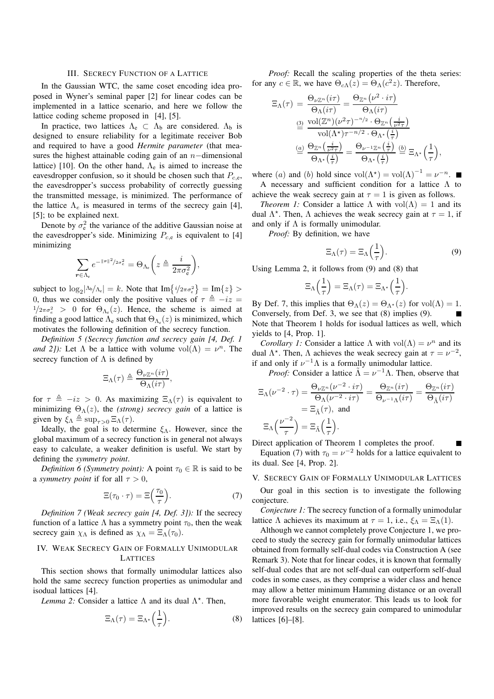#### III. SECRECY FUNCTION OF A LATTICE

<span id="page-2-0"></span>In the Gaussian WTC, the same coset encoding idea proposed in Wyner's seminal paper [\[2\]](#page-6-1) for linear codes can be implemented in a lattice scenario, and here we follow the lattice coding scheme proposed in [\[4\]](#page-6-3), [\[5\]](#page-6-4).

In practice, two lattices  $\Lambda_e \subset \Lambda_b$  are considered.  $\Lambda_b$  is designed to ensure reliability for a legitimate receiver Bob and required to have a good *Hermite parameter* (that measures the highest attainable coding gain of an  $n$ −dimensional lattice) [\[10\]](#page-6-9). On the other hand,  $\Lambda_e$  is aimed to increase the eavesdropper confusion, so it should be chosen such that  $P_{c,e}$ , the eavesdropper's success probability of correctly guessing the transmitted message, is minimized. The performance of the lattice  $\Lambda_e$  is measured in terms of the secrecy gain [\[4\]](#page-6-3), [\[5\]](#page-6-4); to be explained next.

Denote by  $\sigma_e^2$  the variance of the additive Gaussian noise at the eavesdropper's side. Minimizing  $P_{c,e}$  is equivalent to [\[4\]](#page-6-3) minimizing

$$
\sum_{r \in \Lambda_{\rm e}} e^{-\|r\|^2/2\sigma_{\rm e}^2} = \Theta_{\Lambda_{\rm e}} \bigg(z \triangleq \frac{i}{2\pi\sigma_{\rm e}^2}\bigg),\,
$$

subject to  $\log_2 |\Lambda_b/\Lambda_e| = k$ . Note that  $\text{Im} \{i/2\pi \sigma_e^2\} = \text{Im} \{z\} >$ 0, thus we consider only the positive values of  $\tau = -iz =$  $1/2\pi\sigma_e^2 > 0$  for  $\Theta_{\Lambda_e}(z)$ . Hence, the scheme is aimed at finding a good lattice  $\Lambda_e$  such that  $\Theta_{\Lambda_e}(z)$  is minimized, which motivates the following definition of the secrecy function.

*Definition 5 (Secrecy function and secrecy gain [\[4,](#page-6-3) Def. 1 and 2]*): Let  $\Lambda$  be a lattice with volume  $vol(\Lambda) = \nu^n$ . The secrecy function of  $\Lambda$  is defined by

$$
\Xi_{\Lambda}(\tau) \triangleq \frac{\Theta_{\nu\mathbb{Z}^n}(i\tau)}{\Theta_{\Lambda}(i\tau)},
$$

for  $\tau \triangleq -iz > 0$ . As maximizing  $\Xi_{\Lambda}(\tau)$  is equivalent to minimizing  $\Theta_{\Lambda}(z)$ , the *(strong) secrecy gain* of a lattice is given by  $\xi_{\Lambda} \triangleq \sup_{\tau>0} \Xi_{\Lambda}(\tau)$ .

Ideally, the goal is to determine  $\xi_{\Lambda}$ . However, since the global maximum of a secrecy function is in general not always easy to calculate, a weaker definition is useful. We start by defining the *symmetry point*.

*Definition 6 (Symmetry point):* A point  $\tau_0 \in \mathbb{R}$  is said to be a *symmetry point* if for all  $\tau > 0$ ,

$$
\Xi(\tau_0 \cdot \tau) = \Xi\left(\frac{\tau_0}{\tau}\right). \tag{7}
$$

*Definition 7 (Weak secrecy gain [\[4,](#page-6-3) Def. 3]):* If the secrecy function of a lattice  $\Lambda$  has a symmetry point  $\tau_0$ , then the weak secrecy gain  $\chi_{\Lambda}$  is defined as  $\chi_{\Lambda} = \Xi_{\Lambda}(\tau_0)$ .

## IV. WEAK SECRECY GAIN OF FORMALLY UNIMODULAR LATTICES

This section shows that formally unimodular lattices also hold the same secrecy function properties as unimodular and isodual lattices [\[4\]](#page-6-3).

Lemma 2: Consider a lattice  $\Lambda$  and its dual  $\Lambda^*$ . Then,

<span id="page-2-1"></span>
$$
\Xi_{\Lambda}(\tau) = \Xi_{\Lambda^*}\left(\frac{1}{\tau}\right). \tag{8}
$$

*Proof:* Recall the scaling properties of the theta series: for any  $c \in \mathbb{R}$ , we have  $\Theta_{c\Lambda}(z) = \Theta_{\Lambda}(c^2 z)$ . Therefore,

$$
\Xi_{\Lambda}(\tau) = \frac{\Theta_{\nu\mathbb{Z}^n}(i\tau)}{\Theta_{\Lambda}(i\tau)} = \frac{\Theta_{\mathbb{Z}^n}(\nu^2 \cdot i\tau)}{\Theta_{\Lambda}(i\tau)}
$$

$$
\stackrel{(3)}{=} \frac{\text{vol}(\mathbb{Z}^n)(\nu^2\tau)^{-n/2} \cdot \Theta_{\mathbb{Z}^n}(\frac{i}{\nu^2\tau})}{\text{vol}(\Lambda^\star)\tau^{-n/2} \cdot \Theta_{\Lambda^\star}(\frac{i}{\tau})}
$$

$$
\stackrel{(a)}{=} \frac{\Theta_{\mathbb{Z}^n}(\frac{i}{\nu^2\tau})}{\Theta_{\Lambda^\star}(\frac{i}{\tau})} = \frac{\Theta_{\nu^{-1}\mathbb{Z}^n}(\frac{i}{\tau})}{\Theta_{\Lambda^\star}(\frac{i}{\tau})} \stackrel{(b)}{=} \Xi_{\Lambda^\star}\left(\frac{1}{\tau}\right),
$$

where (a) and (b) hold since  $vol(\Lambda^*) = vol(\Lambda)^{-1} = \nu^{-n}$ . A necessary and sufficient condition for a lattice Λ to

<span id="page-2-5"></span>achieve the weak secrecy gain at  $\tau = 1$  is given as follows. *Theorem 1:* Consider a lattice  $\Lambda$  with  $vol(\Lambda) = 1$  and its dual  $Λ<sup>*</sup>$ . Then, Λ achieves the weak secrecy gain at  $τ = 1$ , if and only if  $\Lambda$  is formally unimodular.

*Proof:* By definition, we have

<span id="page-2-2"></span>
$$
\Xi_{\Lambda}(\tau) = \Xi_{\Lambda}\left(\frac{1}{\tau}\right). \tag{9}
$$

Using Lemma [2,](#page-2-1) it follows from [\(9\)](#page-2-2) and [\(8\)](#page-2-3) that

$$
\Xi_{\Lambda}\left(\frac{1}{\tau}\right) = \Xi_{\Lambda}(\tau) = \Xi_{\Lambda^*}\left(\frac{1}{\tau}\right).
$$

By Def. [7,](#page-2-4) this implies that  $\Theta_{\Lambda}(z) = \Theta_{\Lambda^*}(z)$  for  $\text{vol}(\Lambda) = 1$ . Conversely, from Def. [3,](#page-1-6) we see that [\(8\)](#page-2-3) implies [\(9\)](#page-2-2). Note that Theorem [1](#page-2-5) holds for isodual lattices as well, which yields to [\[4,](#page-6-3) Prop. 1].

*Corollary 1:* Consider a lattice  $\Lambda$  with  $vol(\Lambda) = \nu^n$  and its dual Λ<sup>\*</sup>. Then, Λ achieves the weak secrecy gain at  $\tau = \nu^{-2}$ , if and only if  $\nu^{-1}\Lambda$  is a formally unimodular lattice.

*Proof:* Consider a lattice  $\tilde{\Lambda} = \nu^{-1} \Lambda$ . Then, observe that

$$
\Xi_{\Lambda}(\nu^{-2} \cdot \tau) = \frac{\Theta_{\nu \mathbb{Z}^n}(\nu^{-2} \cdot i\tau)}{\Theta_{\Lambda}(\nu^{-2} \cdot i\tau)} = \frac{\Theta_{\mathbb{Z}^n}(i\tau)}{\Theta_{\nu^{-1}\Lambda}(i\tau)} = \frac{\Theta_{\mathbb{Z}^n}(i\tau)}{\Theta_{\tilde{\Lambda}}(i\tau)}
$$

$$
= \Xi_{\tilde{\Lambda}}(\tau), \text{ and}
$$

$$
\Xi_{\Lambda}(\frac{\nu^{-2}}{\Gamma_{\tilde{\Lambda}}}) = \Xi_{\tilde{\Lambda}}(\frac{1}{\Gamma})
$$

$$
\Xi_{\Lambda}\left(\frac{\nu}{\tau}\right)=\Xi_{\tilde{\Lambda}}\left(\frac{1}{\tau}\right).
$$

Direct application of Theorem [1](#page-2-5) completes the proof.

Equation [\(7\)](#page-2-4) with  $\tau_0 = \nu^{-2}$  holds for a lattice equivalent to its dual. See [\[4,](#page-6-3) Prop. 2].

### V. SECRECY GAIN OF FORMALLY UNIMODULAR LATTICES

<span id="page-2-4"></span>Our goal in this section is to investigate the following conjecture.

<span id="page-2-6"></span>*Conjecture 1:* The secrecy function of a formally unimodular lattice Λ achieves its maximum at  $\tau = 1$ , i.e.,  $\xi_{\Lambda} = \Xi_{\Lambda}(1)$ .

<span id="page-2-7"></span><span id="page-2-3"></span>Although we cannot completely prove Conjecture [1,](#page-2-6) we proceed to study the secrecy gain for formally unimodular lattices obtained from formally self-dual codes via Construction A (see Remark [3\)](#page-1-7). Note that for linear codes, it is known that formally self-dual codes that are not self-dual can outperform self-dual codes in some cases, as they comprise a wider class and hence may allow a better minimum Hamming distance or an overall more favorable weight enumerator. This leads us to look for improved results on the secrecy gain compared to unimodular lattices [\[6\]](#page-6-5)–[\[8\]](#page-6-7).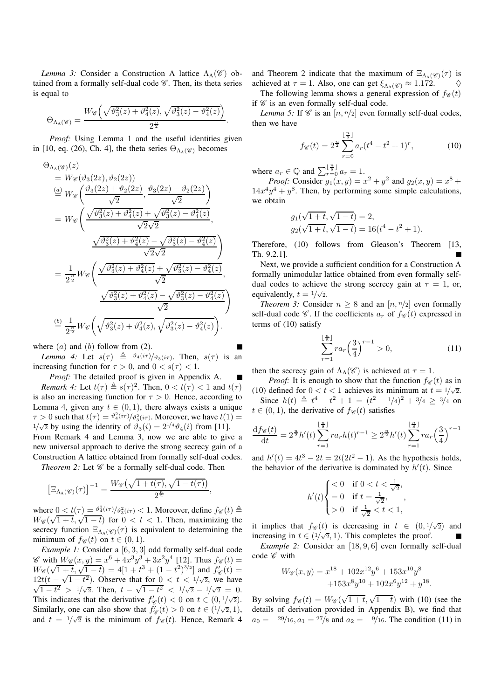*Lemma 3:* Consider a Construction A lattice  $\Lambda_A(\mathscr{C})$  obtained from a formally self-dual code  $\mathscr C$ . Then, its theta series is equal to

$$
\Theta_{\Lambda_{\rm A}(\mathscr{C})} = \frac{W_{\mathscr{C}}\left(\sqrt{\vartheta_3^2(z) + \vartheta_4^2(z)}, \sqrt{\vartheta_3^2(z) - \vartheta_4^2(z)}\right)}{2^{\frac{n}{2}}}.
$$

*Proof:* Using Lemma [1](#page-1-5) and the useful identities given in [\[10,](#page-6-9) eq. (26), Ch. 4], the theta series  $\Theta_{\Lambda_A(\mathscr{C})}$  becomes

$$
\Theta_{\Lambda_{\rm A}}(\mathscr{C})(z)
$$
\n
$$
= W_{\mathscr{C}}(\vartheta_3(2z), \vartheta_2(2z))
$$
\n
$$
\stackrel{(a)}{=} W_{\mathscr{C}}\left(\frac{\vartheta_3(2z) + \vartheta_2(2z)}{\sqrt{2}}, \frac{\vartheta_3(2z) - \vartheta_2(2z)}{\sqrt{2}}\right)
$$
\n
$$
= W_{\mathscr{C}}\left(\frac{\sqrt{\vartheta_3^2(z) + \vartheta_4^2(z)} + \sqrt{\vartheta_3^2(z) - \vartheta_4^2(z)}}{\sqrt{2}\sqrt{2}}, \frac{\sqrt{\vartheta_3^2(z) + \vartheta_4^2(z)} - \sqrt{\vartheta_3^2(z) - \vartheta_4^2(z)}}{\sqrt{2}\sqrt{2}}\right)
$$
\n
$$
= \frac{1}{2^{\frac{n}{2}}} W_{\mathscr{C}}\left(\frac{\sqrt{\vartheta_3^2(z) + \vartheta_4^2(z)} + \sqrt{\vartheta_3^2(z) - \vartheta_4^2(z)}}{\sqrt{2}}, \frac{\sqrt{\vartheta_3^2(z) + \vartheta_4^2(z)} - \sqrt{\vartheta_3^2(z) - \vartheta_4^2(z)}}{\sqrt{2}}\right)
$$
\n
$$
\stackrel{\text{(b)}{=} \frac{1}{2^{\frac{n}{2}}} W_{\mathscr{C}}\left(\sqrt{\vartheta_3^2(z) + \vartheta_4^2(z)}, \sqrt{\vartheta_3^2(z) - \vartheta_4^2(z)}\right).
$$

<span id="page-3-0"></span>where  $(a)$  and  $(b)$  follow from  $(2)$ .

*Lemma 4:* Let  $s(\tau) \triangleq \theta_4(i\tau)/\theta_3(i\tau)$ . Then,  $s(\tau)$  is an increasing function for  $\tau > 0$ , and  $0 < s(\tau) < 1$ .

<span id="page-3-1"></span>*Proof:* The detailed proof is given in Appendix [A.](#page-5-0) *Remark 4:* Let  $t(\tau) \triangleq s(\tau)^2$ . Then,  $0 < t(\tau) < 1$  and  $t(\tau)$ is also an increasing function for  $\tau > 0$ . Hence, according to Lemma [4,](#page-3-0) given any  $t \in (0,1)$ , there always exists a unique  $\tau > 0$  such that  $t(\tau) = \frac{\vartheta_4^2(i\tau)}{\vartheta_3^2(i\tau)}$ . Moreover, we have  $t(1) =$  $1/\sqrt{2}$  by using the identity of  $\vartheta_3(i) = 2^{1/4}\vartheta_4(i)$  from [\[11\]](#page-6-10). From Remark [4](#page-3-1) and Lemma [3,](#page-2-7) now we are able to give a new universal approach to derive the strong secrecy gain of a Construction A lattice obtained from formally self-dual codes. *Theorem 2:* Let  $\mathscr C$  be a formally self-dual code. Then

$$
\left[\Xi_{\Lambda_{\Lambda}(\mathscr{C})}(\tau)\right]^{-1} = \frac{W_{\mathscr{C}}\left(\sqrt{1+t(\tau)}, \sqrt{1-t(\tau)}\right)}{2^{\frac{n}{2}}},
$$

where  $0 < t(\tau) = \frac{\vartheta_4^2(i\tau)}{\vartheta_3^2(i\tau)} < 1$ . Moreover, define  $f_{\mathscr{C}}(t) \triangleq$  $W_{\mathscr{C}}(\sqrt{1+t}, \sqrt{1-t})$  for  $0 < t < 1$ . Then, maximizing the secrecy function  $\Xi_{\Lambda_{A}(\mathscr{C})}(\tau)$  is equivalent to determining the minimum of  $f_{\mathscr{C}}(t)$  on  $t \in (0,1)$ .

*Example 1:* Consider a [6, 3, 3] odd formally self-dual code  $\mathscr{C}$  with  $W_{\mathscr{C}}(x,y) = x^6 + 4x^3y^3 + 3x^2y^4$  [\[12\]](#page-6-11). Thus  $f_{\mathscr{C}}(t) =$  $W_{\mathscr{C}}(\sqrt{1+t}, \sqrt{1-t}) = 4[1+t^3+(1-t^2)^{3/2}]$  and  $f'_{\mathscr{C}}(t) =$  $12t(t - \sqrt{1-t^2})$ . Observe that for  $0 < t < 1/\sqrt{2}$ , we have  $\sqrt{1-t^2} > 1/\sqrt{2}$ . Then,  $t - \sqrt{1-t^2} < 1/\sqrt{2} - 1/\sqrt{2} = 0$ . This indicates that the derivative  $f'_{\mathscr{C}}(t) < 0$  on  $t \in (0, 1/\sqrt{2})$ . Similarly, one can also show that  $f'_{\mathscr{C}}(t) > 0$  on  $t \in (1/\sqrt{2}, 1)$ , and  $t = 1/\sqrt{2}$  is the minimum of  $f_{\mathscr{C}}(t)$ . Hence, Remark [4](#page-3-1)

and Theorem [2](#page-3-2) indicate that the maximum of  $\Xi_{\Lambda_{A}(\mathscr{C})}(\tau)$  is achieved at  $\tau = 1$ . Also, one can get  $\xi_{\Lambda_A(\mathscr{C})} \approx 1.172$ .

The following lemma shows a general expression of  $f_{\mathscr{C}}(t)$ if  $\mathscr C$  is an even formally self-dual code.

*Lemma 5:* If  $\mathscr C$  is an  $[n, n/2]$  even formally self-dual codes, then we have

<span id="page-3-3"></span>
$$
f_{\mathscr{C}}(t) = 2^{\frac{n}{2}} \sum_{r=0}^{\lfloor \frac{n}{8} \rfloor} a_r (t^4 - t^2 + 1)^r, \tag{10}
$$

where  $a_r \in \mathbb{Q}$  and  $\sum_{r=0}^{\lfloor \frac{n}{8} \rfloor} a_r = 1$ .

*Proof:* Consider  $g_1(x, y) = x^2 + y^2$  and  $g_2(x, y) = x^8 + y^6$  $14x^4y^4 + y^8$ . Then, by performing some simple calculations, we obtain

$$
g_1(\sqrt{1+t}, \sqrt{1-t}) = 2,
$$
  
\n $g_2(\sqrt{1+t}, \sqrt{1-t}) = 16(t^4 - t^2 + 1).$ 

Therefore, [\(10\)](#page-3-3) follows from Gleason's Theorem [\[13,](#page-6-12) Th. 9.2.1].

Next, we provide a sufficient condition for a Construction A formally unimodular lattice obtained from even formally selfdual codes to achieve the strong secrecy gain at  $\tau = 1$ , or, equivalently,  $t = 1/\sqrt{2}$ .

*Theorem 3:* Consider  $n \geq 8$  and an  $[n, n/2]$  even formally self-dual code  $\mathscr C$ . If the coefficients  $a_r$  of  $f_{\mathscr C}(t)$  expressed in terms of [\(10\)](#page-3-3) satisfy

<span id="page-3-5"></span><span id="page-3-4"></span>
$$
\sum_{r=1}^{\lfloor \frac{n}{8} \rfloor} r a_r \left(\frac{3}{4}\right)^{r-1} > 0,\tag{11}
$$

then the secrecy gain of  $\Lambda_A(\mathscr{C})$  is achieved at  $\tau = 1$ .

*Proof:* It is enough to show that the function  $f_{\mathscr{C}}(t)$  as in [\(10\)](#page-3-3) defined for  $0 < t < 1$  achieves its minimum at  $t = 1/\sqrt{2}$ . Since  $h(t) \triangleq t^4 - t^2 + 1 = (t^2 - 1/4)^2 + 3/4 \ge 3/4$  on  $t \in (0, 1)$ , the derivative of  $f_{\mathscr{C}}(t)$  satisfies

$$
\frac{df_{\mathscr{C}}(t)}{dt} = 2^{\frac{n}{2}}h'(t)\sum_{r=1}^{\lfloor \frac{n}{8} \rfloor} r a_r h(t)^{r-1} \ge 2^{\frac{n}{2}}h'(t)\sum_{r=1}^{\lfloor \frac{n}{8} \rfloor} r a_r \left(\frac{3}{4}\right)^{r-1}
$$

<span id="page-3-2"></span>and  $h'(t) = 4t^3 - 2t = 2t(2t^2 - 1)$ . As the hypothesis holds, the behavior of the derivative is dominated by  $h'(t)$ . Since

$$
h'(t) \begin{cases} < 0 & \text{if } 0 < t < \frac{1}{\sqrt{2}}, \\ = 0 & \text{if } t = \frac{1}{\sqrt{2}}, \\ > 0 & \text{if } \frac{1}{\sqrt{2}} < t < 1, \end{cases}
$$

it implies that  $f_{\mathscr{C}}(t)$  is decreasing in  $t \in (0, 1/\sqrt{2})$  and increasing in  $t \in (1/\sqrt{2}, 1)$ . This completes the proof.

*Example 2:* Consider an [18, 9, 6] even formally self-dual code  $\mathscr C$  with

$$
W_{\mathscr{C}}(x,y) = x^{18} + 102x^{12}y^6 + 153x^{10}y^8
$$
  
+153x<sup>8</sup>y<sup>10</sup> + 102x<sup>6</sup>y<sup>12</sup> + y<sup>18</sup>.

By solving  $f_{\mathscr{C}}(t) = W_{\mathscr{C}}(\sqrt{1+t}, \sqrt{1-t})$  with [\(10\)](#page-3-3) (see the details of derivation provided in Appendix [B\)](#page-5-1), we find that  $a_0 = -\frac{29}{16}$ ,  $a_1 = \frac{27}{8}$  and  $a_2 = -\frac{9}{16}$ . The condition [\(11\)](#page-3-4) in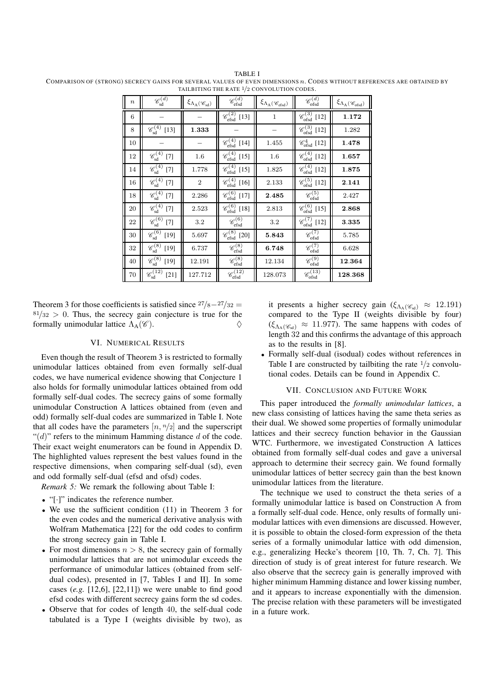| $\boldsymbol{n}$ | $\mathscr{C}_{\text{sd}}^{(d)}$                       | $\xi_{\Lambda_A(\mathscr{C}_{sd})}$ | $\mathscr{C}_{\text{efsd}}^{(d)}$           | $\xi_{\Lambda_A(\mathscr{C}_{\text{efsd}})}$ | $\mathscr{C}_{\text{ofsd}}^{(d)}$      | $\xi_{\Lambda_{\rm A}(\mathscr{C}_{\rm ofsd})}$ |
|------------------|-------------------------------------------------------|-------------------------------------|---------------------------------------------|----------------------------------------------|----------------------------------------|-------------------------------------------------|
| 6                |                                                       |                                     | $\mathscr{C}_{\text{efsd}}^{(2)}$<br>$[13]$ | $\mathbf{1}$                                 | $\mathscr{C}_{\text{ofsd}}^{(3)}$ [12] | 1.172                                           |
| 8                | $\mathscr{C}_{sd}^{(4)}$ [13]                         | 1.333                               |                                             |                                              | $\mathscr{C}_{\text{ofsd}}^{(3)}$ [12] | 1.282                                           |
| 10               |                                                       |                                     | $\mathscr{C}_{\text{efsd}}^{(4)}$<br>$[14]$ | 1.455                                        | $\mathscr{C}^4_{\text{ofsd}}$ [12]     | 1.478                                           |
| 12               | $\mathscr{C}_{\text{sd}}^{(4)}$<br>$[7]$              | 1.6                                 | $\mathscr{C}_{\text{efsd}}^{(4)}$<br>$[15]$ | 1.6                                          | $\mathscr{C}_{\text{ofsd}}^{(4)}$ [12] | 1.657                                           |
| 14               | $\mathscr{C}_{\text{sd}}^{(4)}$<br>$[7]$              | 1.778                               | $\mathscr{C}_{\text{efsd}}^{(4)}$<br>$[15]$ | 1.825                                        | $\mathscr{C}_{\text{ofsd}}^{(4)}$ [12] | 1.875                                           |
| 16               | $\mathscr{C}_{\text{sd}}^{(4)}$<br>$[7]$              | $\overline{2}$                      | $\mathscr{C}_{\text{efsd}}^{(4)}$<br>$[16]$ | 2.133                                        | $\mathscr{C}_{\text{ofsd}}^{(5)}$ [12] | 2.141                                           |
| 18               | $\mathscr{C}_{\text{sd}}^{(4)}$<br>$[7]$              | 2.286                               | $\mathscr{C}_{\text{efsd}}^{(6)}$<br>$[17]$ | 2.485                                        | $\mathscr{C}_{\mathrm{ofsd}}^{(5)}$    | 2.427                                           |
| 20               | $\mathscr{C}_{\text{sd}}^{(4)}$<br>$[7]$              | 2.523                               | $\mathscr{C}_{\text{efsd}}^{(6)}$<br>$[18]$ | 2.813                                        | $\mathcal{C}_{\text{ofsd}}^{(6)}$ [15] | 2.868                                           |
| 22               | $\mathscr{C}_{\text{sd}}^{(6)}$<br>$[7]$              | $3.2\,$                             | $\mathscr{C}_{\text{efsd}}^{(6)}$           | 3.2                                          | $\mathcal{C}_{\text{ofsd}}^{(7)}$ [12] | 3.335                                           |
| 30               | $\mathscr{C}_{\mathrm{sd}}^{(6)}$<br>$[19]$           | 5.697                               | $\mathscr{C}_{\text{efsd}}^{(8)}$ [20]      | 5.843                                        | $\mathscr{C}_{\mathrm{ofsd}}^{(7)}$    | 5.785                                           |
| 32               | $\overline{\mathscr{C}^{(8)}_{\text{sd}}}$<br>$[19]$  | 6.737                               | $\mathscr{C}_{\text{efsd}}^{(8)}$           | 6.748                                        | $\mathscr{C}_{\mathrm{ofsd}}^{(7)}$    | 6.628                                           |
| 40               | $\mathscr{C}_{\text{sd}}^{(8)}$<br>$[19]$             | 12.191                              | $\mathscr{C}_{\text{efsd}}^{(8)}$           | 12.134                                       | $\mathscr{C}_{\mathrm{ofsd}}^{(9)}$    | 12.364                                          |
| 70               | $\mathscr{C}_{\text{sd}}^{\overline{(12)}}$<br>$[21]$ | 127.712                             | $\mathscr{C}_{\text{efsd}}^{(12)}$          | 128.073                                      | $\mathscr{C}_{\text{ofsd}}^{(13)}$     | 128.368                                         |

<span id="page-4-0"></span>TABLE I COMPARISON OF (STRONG) SECRECY GAINS FOR SEVERAL VALUES OF EVEN DIMENSIONS n. CODES WITHOUT REFERENCES ARE OBTAINED BY TAILBITING THE RATE 1/2 CONVOLUTION CODES.

Theorem [3](#page-3-5) for those coefficients is satisfied since  $27/8-27/32=$  $81/32 > 0$ . Thus, the secrecy gain conjecture is true for the formally unimodular lattice  $\Lambda_A(\mathscr{C})$ .

## VI. NUMERICAL RESULTS

Even though the result of Theorem [3](#page-3-5) is restricted to formally unimodular lattices obtained from even formally self-dual codes, we have numerical evidence showing that Conjecture [1](#page-2-6) also holds for formally unimodular lattices obtained from odd formally self-dual codes. The secrecy gains of some formally unimodular Construction A lattices obtained from (even and odd) formally self-dual codes are summarized in Table [I.](#page-4-0) Note that all codes have the parameters  $[n, n/2]$  and the superscript " $(d)$ " refers to the minimum Hamming distance d of the code. Their exact weight enumerators can be found in Appendix [D.](#page-8-0) The highlighted values represent the best values found in the respective dimensions, when comparing self-dual (sd), even and odd formally self-dual (efsd and ofsd) codes.

*Remark 5:* We remark the following about Table [I:](#page-4-0)

- "[·]" indicates the reference number.
- We use the sufficient condition [\(11\)](#page-3-4) in Theorem [3](#page-3-5) for the even codes and the numerical derivative analysis with Wolfram Mathematica [\[22\]](#page-7-2) for the odd codes to confirm the strong secrecy gain in Table [I.](#page-4-0)
- For most dimensions  $n > 8$ , the secrecy gain of formally unimodular lattices that are not unimodular exceeds the performance of unimodular lattices (obtained from selfdual codes), presented in [\[7,](#page-6-6) Tables I and II]. In some cases  $(e.g. [12,6], [22,11])$  we were unable to find good efsd codes with different secrecy gains form the sd codes.
- Observe that for codes of length 40, the self-dual code tabulated is a Type I (weights divisible by two), as

<span id="page-4-1"></span>it presents a higher secrecy gain ( $\xi_{\Lambda_A(\mathscr{C}_{sd})} \approx 12.191$ ) compared to the Type II (weights divisible by four)  $(\xi_{\Lambda_A(\mathscr{C}_{\text{sd}})} \approx 11.977)$ . The same happens with codes of length 32 and this confirms the advantage of this approach as to the results in [\[8\]](#page-6-7).

• Formally self-dual (isodual) codes without references in Table [I](#page-4-0) are constructed by tailbiting the rate  $\frac{1}{2}$  convolutional codes. Details can be found in Appendix [C.](#page-6-19)

#### VII. CONCLUSION AND FUTURE WORK

This paper introduced the *formally unimodular lattices*, a new class consisting of lattices having the same theta series as their dual. We showed some properties of formally unimodular lattices and their secrecy function behavior in the Gaussian WTC. Furthermore, we investigated Construction A lattices obtained from formally self-dual codes and gave a universal approach to determine their secrecy gain. We found formally unimodular lattices of better secrecy gain than the best known unimodular lattices from the literature.

The technique we used to construct the theta series of a formally unimodular lattice is based on Construction A from a formally self-dual code. Hence, only results of formally unimodular lattices with even dimensions are discussed. However, it is possible to obtain the closed-form expression of the theta series of a formally unimodular lattice with odd dimension, e.g., generalizing Hecke's theorem [\[10,](#page-6-9) Th. 7, Ch. 7]. This direction of study is of great interest for future research. We also observe that the secrecy gain is generally improved with higher minimum Hamming distance and lower kissing number, and it appears to increase exponentially with the dimension. The precise relation with these parameters will be investigated in a future work.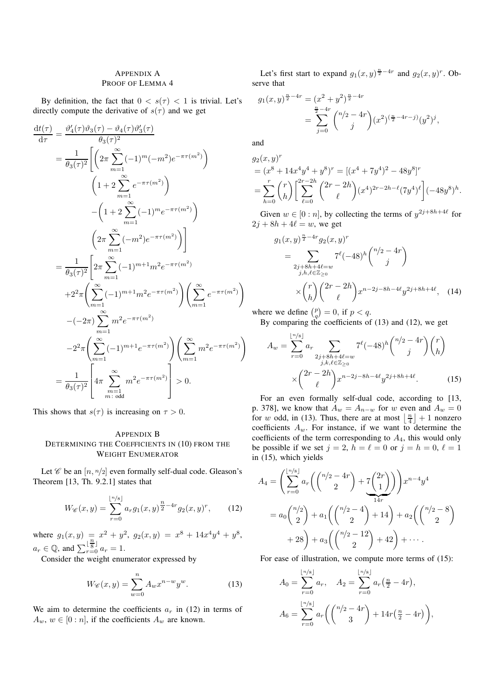## <span id="page-5-0"></span>APPENDIX A PROOF OF LEMMA [4](#page-3-0)

By definition, the fact that  $0 < s(\tau) < 1$  is trivial. Let's directly compute the derivative of  $s(\tau)$  and we get

$$
\frac{d t(\tau)}{d \tau} = \frac{\vartheta_4'(\tau) \vartheta_3(\tau) - \vartheta_4(\tau) \vartheta_3'(\tau)}{\theta_3(\tau)^2}
$$
\n
$$
= \frac{1}{\theta_3(\tau)^2} \Biggl[ \Biggl( 2\pi \sum_{m=1}^{\infty} (-1)^m (-m^2) e^{-\pi \tau(m^2)} \Biggr)
$$
\n
$$
- \Biggl( 1 + 2 \sum_{m=1}^{\infty} e^{-\pi \tau(m^2)} \Biggr)
$$
\n
$$
- \Biggl( 1 + 2 \sum_{m=1}^{\infty} (-1)^m e^{-\pi \tau(m^2)} \Biggr)
$$
\n
$$
= \frac{1}{\theta_3(\tau)^2} \Biggl[ 2\pi \sum_{m=1}^{\infty} (-1)^{m+1} m^2 e^{-\pi \tau(m^2)} \Biggr)
$$
\n
$$
+ 2^2 \pi \Biggl( \sum_{m=1}^{\infty} (-1)^{m+1} m^2 e^{-\pi \tau(m^2)} \Biggr) \Biggl( \sum_{m=1}^{\infty} e^{-\pi \tau(m^2)} \Biggr)
$$
\n
$$
- (-2\pi) \sum_{m=1}^{\infty} m^2 e^{-\pi \tau(m^2)} \Biggr) \Biggl( \sum_{m=1}^{\infty} e^{-\pi \tau(m^2)} \Biggr)
$$
\n
$$
- 2^2 \pi \Biggl( \sum_{m=1}^{\infty} (-1)^{m+1} e^{-\pi \tau(m^2)} \Biggr) \Biggl( \sum_{m=1}^{\infty} m^2 e^{-\pi \tau(m^2)} \Biggr)
$$
\n
$$
= \frac{1}{\theta_3(\tau)^2} \Biggl[ 4\pi \sum_{\substack{m=1 \text{odd}}}^{\infty} m^2 e^{-\pi \tau(m^2)} \Biggr] > 0.
$$

This shows that  $s(\tau)$  is increasing on  $\tau > 0$ .

## <span id="page-5-1"></span>APPENDIX B DETERMINING THE COEFFICIENTS IN [\(10\)](#page-3-3) FROM THE WEIGHT ENUMERATOR

Let  $\mathscr C$  be an  $[n, n/2]$  even formally self-dual code. Gleason's Theorem [\[13,](#page-6-12) Th. 9.2.1] states that

$$
W_{\mathscr{C}}(x,y) = \sum_{r=0}^{\lfloor n/s \rfloor} a_r g_1(x,y)^{\frac{n}{2}-4r} g_2(x,y)^r, \qquad (12)
$$

where  $g_1(x, y) = x^2 + y^2$ ,  $g_2(x, y) = x^8 + 14x^4y^4 + y^8$ ,  $a_r \in \mathbb{Q}$ , and  $\sum_{r=0}^{\lfloor \frac{n}{8} \rfloor} a_r = 1$ .

Consider the weight enumerator expressed by

$$
W_{\mathscr{C}}(x,y) = \sum_{w=0}^{n} A_w x^{n-w} y^w.
$$
 (13)

We aim to determine the coefficients  $a_r$  in [\(12\)](#page-5-2) in terms of  $A_w$ ,  $w \in [0:n]$ , if the coefficients  $A_w$  are known.

Let's first start to expand  $g_1(x, y)^{\frac{n}{2}-4r}$  and  $g_2(x, y)^r$ . Observe that

$$
g_1(x,y)^{\frac{n}{2}-4r} = (x^2 + y^2)^{\frac{n}{2}-4r}
$$
  
= 
$$
\sum_{j=0}^{\frac{n}{2}-4r} \binom{n/2-4r}{j} (x^2)^{(\frac{n}{2}-4r-j)} (y^2)^j,
$$

and

 $\setminus$ 

$$
g_2(x, y)^r
$$
  
=  $(x^8 + 14x^4y^4 + y^8)^r$  =  $[(x^4 + 7y^4)^2 - 48y^8]^r$   
=  $\sum_{h=0}^r {r \choose h} \left[ \sum_{\ell=0}^{2r-2h} {2r - 2h \choose \ell} (x^4)^{2r-2h-\ell} (7y^4)^{\ell} \right] (-48y^8)^h$ .

Given  $w \in [0:n]$ , by collecting the terms of  $y^{2j+8h+4\ell}$  for  $2j + 8h + 4\ell = w$ , we get

$$
g_1(x,y)^{\frac{n}{2}-4r} g_2(x,y)^r
$$
  
= 
$$
\sum_{\substack{2j+8h+4\ell=w\\j,h,\ell\in\mathbb{Z}_{\geq 0}}} 7^{\ell}(-48)^h \binom{n/2-4r}{j}
$$
  

$$
\times \binom{r}{h} \binom{2r-2h}{\ell} x^{n-2j-8h-4\ell} y^{2j+8h+4\ell}, \quad (14)
$$

where we define  $\binom{p}{q} = 0$ , if  $p < q$ .

By comparing the coefficients of  $(13)$  and  $(12)$ , we get

<span id="page-5-4"></span>
$$
A_w = \sum_{r=0}^{\lfloor n/s \rfloor} a_r \sum_{\substack{2j+8h+4\ell=w\\j,k,\ell \in \mathbb{Z}_{\geq 0}}} 7^{\ell}(-48)^h \binom{n/2-4r}{j} \binom{r}{h}
$$

$$
\times \binom{2r-2h}{\ell} x^{n-2j-8h-4\ell} y^{2j+8h+4\ell}.
$$
 (15)

For an even formally self-dual code, according to [\[13,](#page-6-12) p. 378], we know that  $A_w = A_{n-w}$  for w even and  $A_w = 0$ for w odd, in [\(13\)](#page-5-3). Thus, there are at most  $\left\lfloor \frac{n}{4} \right\rfloor + 1$  nonzero coefficients  $A_w$ . For instance, if we want to determine the coefficients of the term corresponding to  $A_4$ , this would only be possible if we set  $j = 2$ ,  $h = \ell = 0$  or  $j = h = 0$ ,  $\ell = 1$ in [\(15\)](#page-5-4), which yields

<span id="page-5-2"></span>
$$
A_4 = \left(\sum_{r=0}^{\lfloor n/s \rfloor} a_r \left( \binom{n/2 - 4r}{2} + \frac{7 \binom{2r}{1}}{14r} \right) x^{n-4} y^4
$$
  
=  $a_0 \binom{n/2}{2} + a_1 \left( \binom{n/2 - 4}{2} + 14 \right) + a_2 \left( \binom{n/2 - 8}{2} + 28 \right) + a_3 \left( \binom{n/2 - 12}{2} + 42 \right) + \cdots$ 

<span id="page-5-3"></span>For ease of illustration, we compute more terms of [\(15\)](#page-5-4):

$$
A_0 = \sum_{r=0}^{\lfloor n/s \rfloor} a_r, \quad A_2 = \sum_{r=0}^{\lfloor n/s \rfloor} a_r \left( \frac{n}{2} - 4r \right),
$$
  

$$
A_6 = \sum_{r=0}^{\lfloor n/s \rfloor} a_r \left( \binom{n/s - 4r}{3} + 14r \left( \frac{n}{2} - 4r \right) \right),
$$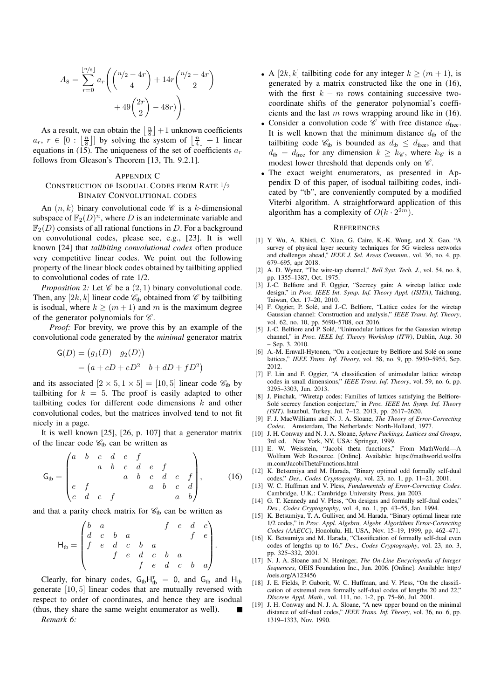$$
A_8 = \sum_{r=0}^{\lfloor n/s \rfloor} a_r \left( \binom{n/2 - 4r}{4} + 14r \binom{n/2 - 4r}{2} + 49 \binom{2r}{2} - 48r \right).
$$

As a result, we can obtain the  $\left\lfloor \frac{n}{8} \right\rfloor + 1$  unknown coefficients  $a_r$ ,  $r \in [0 : \left\lfloor \frac{n}{8} \right\rfloor]$  by solving the system of  $\left\lfloor \frac{n}{4} \right\rfloor + 1$  linear equations in [\(15\)](#page-5-4). The uniqueness of the set of coefficients  $a_r$ follows from Gleason's Theorem [\[13,](#page-6-12) Th. 9.2.1].

#### <span id="page-6-27"></span><span id="page-6-26"></span><span id="page-6-19"></span>APPENDIX C

## CONSTRUCTION OF ISODUAL CODES FROM RATE <sup>1</sup>/<sup>2</sup> BINARY CONVOLUTIONAL CODES

An  $(n, k)$  binary convolutional code  $\mathscr C$  is a k-dimensional subspace of  $\mathbb{F}_2(D)^n$ , where D is an indeterminate variable and  $\mathbb{F}_2(D)$  consists of all rational functions in D. For a background on convolutional codes, please see, e.g., [\[23\]](#page-7-3). It is well known [\[24\]](#page-7-4) that *tailbiting convolutional codes* often produce very competitive linear codes. We point out the following property of the linear block codes obtained by tailbiting applied to convolutional codes of rate 1/2.

<span id="page-6-29"></span>*Proposition 2:* Let  $\mathscr C$  be a  $(2, 1)$  binary convolutional code. Then, any  $[2k, k]$  linear code  $\mathcal{C}_{\text{tb}}$  obtained from  $\mathcal C$  by tailbiting is isodual, where  $k > (m+1)$  and m is the maximum degree of the generator polynomials for  $\mathscr{C}$ .

*Proof:* For brevity, we prove this by an example of the convolutional code generated by the *minimal* generator matrix

$$
G(D) = (g1(D) g2(D))
$$
  
=  $(a + cD + eD2 b + dD + fD2)$ 

and its associated  $[2 \times 5, 1 \times 5] = [10, 5]$  linear code  $\mathcal{C}_{\text{tb}}$  by tailbiting for  $k = 5$ . The proof is easily adapted to other tailbiting codes for different code dimensions  $k$  and other convolutional codes, but the matrices involved tend to not fit nicely in a page.

It is well known [\[25\]](#page-7-5), [\[26,](#page-7-6) p. 107] that a generator matrix of the linear code  $\mathcal{C}_{\text{th}}$  can be written as

<span id="page-6-20"></span>
$$
\mathsf{G}_{\text{tb}} = \begin{pmatrix} a & b & c & d & e & f \\ & a & b & c & d & e & f \\ & & a & b & c & d & e & f \\ e & f & & & a & b & c & d \\ c & d & e & f & & & a & b \end{pmatrix}, \qquad (16)
$$

and that a parity check matrix for  $\mathcal{C}_{tb}$  can be written as

$$
\mathsf{H}_{\mathsf{tb}} = \begin{pmatrix} b & a & & f & e & d & c \\ d & c & b & a & & f & e \\ f & e & d & c & b & a & \\ f & e & d & c & b & a & \\ f & e & d & c & b & a & \end{pmatrix}.
$$

Clearly, for binary codes,  $G_{tb}H_{tb}^T = 0$ , and  $G_{tb}$  and  $H_{tb}$ generate [10, 5] linear codes that are mutually reversed with respect to order of coordinates, and hence they are isodual (thus, they share the same weight enumerator as well).

*Remark 6:*

- A [2k, k] tailbiting code for any integer  $k > (m + 1)$ , is generated by a matrix constructed like the one in [\(16\)](#page-6-20), with the first  $k - m$  rows containing successive twocoordinate shifts of the generator polynomial's coefficients and the last  $m$  rows wrapping around like in [\(16\)](#page-6-20).
- Consider a convolution code  $\mathscr C$  with free distance  $d_{\text{free}}$ . It is well known that the minimum distance  $d_{\text{tb}}$  of the tailbiting code  $\mathcal{C}_{tb}$  is bounded as  $d_{tb} \leq d_{\text{free}}$ , and that  $d_{\text{tb}} = d_{\text{free}}$  for any dimension  $k \geq k_{\mathscr{C}}$ , where  $k_{\mathscr{C}}$  is a modest lower threshold that depends only on  $\mathscr{C}$ .
- The exact weight enumerators, as presented in Appendix [D](#page-8-0) of this paper, of isodual tailbiting codes, indicated by "tb", are conveniently computed by a modified Viterbi algorithm. A straightforward application of this algorithm has a complexity of  $O(k \cdot 2^{2m})$ .

#### <span id="page-6-23"></span>**REFERENCES**

- <span id="page-6-28"></span><span id="page-6-0"></span>[1] Y. Wu, A. Khisti, C. Xiao, G. Caire, K.-K. Wong, and X. Gao, "A survey of physical layer security techniques for 5G wireless networks and challenges ahead," *IEEE J. Sel. Areas Commun.*, vol. 36, no. 4, pp. 679–695, apr 2018.
- <span id="page-6-25"></span><span id="page-6-24"></span><span id="page-6-22"></span><span id="page-6-21"></span><span id="page-6-1"></span>[2] A. D. Wyner, "The wire-tap channel," *Bell Syst. Tech. J.*, vol. 54, no. 8, pp. 1355–1387, Oct. 1975.
- <span id="page-6-2"></span>[3] J.-C. Belfiore and F. Oggier, "Secrecy gain: A wiretap lattice code design," in *Proc. IEEE Int. Symp. Inf. Theory Appl. (ISITA)*, Taichung, Taiwan, Oct. 17–20, 2010.
- <span id="page-6-3"></span>[4] F. Oggier, P. Solé, and J.-C. Belfiore, "Lattice codes for the wiretap Gaussian channel: Construction and analysis," *IEEE Trans. Inf. Theory*, vol. 62, no. 10, pp. 5690–5708, oct 2016.
- <span id="page-6-4"></span>[5] J.-C. Belfiore and P. Solé, "Unimodular lattices for the Gaussian wiretap channel," in *Proc. IEEE Inf. Theory Workshop (ITW)*, Dublin, Aug. 30 – Sep. 3, 2010.
- <span id="page-6-5"></span>[6] A.-M. Ernvall-Hytonen, "On a conjecture by Belfiore and Solé on some lattices," *IEEE Trans. Inf. Theory*, vol. 58, no. 9, pp. 5950–5955, Sep. 2012.
- <span id="page-6-6"></span>[7] F. Lin and F. Oggier, "A classification of unimodular lattice wiretap codes in small dimensions," *IEEE Trans. Inf. Theory*, vol. 59, no. 6, pp. 3295–3303, Jun. 2013.
- <span id="page-6-7"></span>[8] J. Pinchak, "Wiretap codes: Families of lattices satisfying the Belfiore-Solé secrecy function conjecture," in *Proc. IEEE Int. Symp. Inf. Theory (ISIT)*, Istanbul, Turkey, Jul. 7–12, 2013, pp. 2617–2620.
- <span id="page-6-8"></span>[9] F. J. MacWilliams and N. J. A. Sloane, *The Theory of Error-Correcting Codes*. Amsterdam, The Netherlands: North-Holland, 1977.
- <span id="page-6-9"></span>[10] J. H. Conway and N. J. A. Sloane, *Sphere Packings, Lattices and Groups*, 3rd ed. New York, NY, USA: Springer, 1999.
- <span id="page-6-10"></span>[11] E. W. Weisstein, "Jacobi theta functions," From MathWorld—A Wolfram Web Resource. [Online]. Available: https://mathworld.wolfra m.com/JacobiThetaFunctions.html
- <span id="page-6-11"></span>[12] K. Betsumiya and M. Harada, "Binary optimal odd formally self-dual codes," *Des., Codes Cryptography*, vol. 23, no. 1, pp. 11–21, 2001.
- <span id="page-6-12"></span>[13] W. C. Huffman and V. Pless, *Fundamentals of Error-Correcting Codes*. Cambridge, U.K.: Cambridge University Press, jun 2003.
- <span id="page-6-13"></span>[14] G. T. Kennedy and V. Pless, "On designs and formally self-dual codes," *Des., Codes Cryptography*, vol. 4, no. 1, pp. 43–55, Jan. 1994.
- <span id="page-6-14"></span>[15] K. Betsumiya, T. A. Gulliver, and M. Harada, "Binary optimal linear rate 1/2 codes," in *Proc. Appl. Algebra, Algebr. Algorithms Error-Correcting Codes (AAECC)*, Honolulu, HI, USA, Nov. 15–19, 1999, pp. 462–471.
- <span id="page-6-15"></span>[16] K. Betsumiya and M. Harada, "Classification of formally self-dual even codes of lengths up to 16," *Des., Codes Cryptography*, vol. 23, no. 3, pp. 325–332, 2001.
- <span id="page-6-16"></span>[17] N. J. A. Sloane and N. Heninger, *The On-Line Encyclopedia of Integer Sequences*, OEIS Foundation Inc., Jun. 2006. [Online]. Available: http:/ /oeis.org/A123456
- <span id="page-6-17"></span>[18] J. E. Fields, P. Gaborit, W. C. Huffman, and V. Pless, "On the classification of extremal even formally self-dual codes of lengths 20 and 22," *Discrete Appl. Math.*, vol. 111, no. 1-2, pp. 75–86, Jul. 2001.
- <span id="page-6-18"></span>[19] J. H. Conway and N. J. A. Sloane, "A new upper bound on the minimal distance of self-dual codes," *IEEE Trans. Inf. Theory*, vol. 36, no. 6, pp. 1319–1333, Nov. 1990.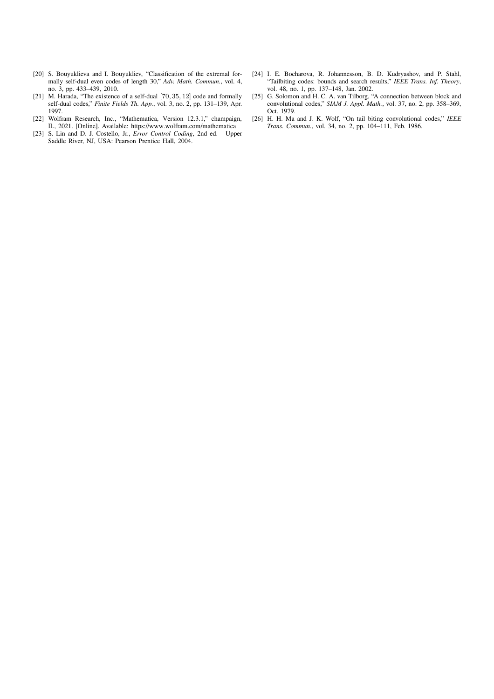- <span id="page-7-0"></span>[20] S. Bouyuklieva and I. Bouyukliev, "Classification of the extremal formally self-dual even codes of length 30," *Adv. Math. Commun.*, vol. 4, no. 3, pp. 433–439, 2010.
- <span id="page-7-1"></span>[21] M. Harada, "The existence of a self-dual [70, 35, 12] code and formally self-dual codes," *Finite Fields Th. App.*, vol. 3, no. 2, pp. 131–139, Apr. 1997.
- <span id="page-7-2"></span>[22] Wolfram Research, Inc., "Mathematica, Version 12.3.1," champaign, IL, 2021. [Online]. Available:<https://www.wolfram.com/mathematica>
- <span id="page-7-3"></span>[23] S. Lin and D. J. Costello, Jr., *Error Control Coding*, 2nd ed. Upper Saddle River, NJ, USA: Pearson Prentice Hall, 2004.
- <span id="page-7-8"></span><span id="page-7-7"></span><span id="page-7-4"></span>[24] I. E. Bocharova, R. Johannesson, B. D. Kudryashov, and P. Stahl, "Tailbiting codes: bounds and search results," *IEEE Trans. Inf. Theory*, vol. 48, no. 1, pp. 137–148, Jan. 2002.
- <span id="page-7-5"></span>[25] G. Solomon and H. C. A. van Tilborg, "A connection between block and convolutional codes," *SIAM J. Appl. Math.*, vol. 37, no. 2, pp. 358–369, Oct. 1979.
- <span id="page-7-6"></span>[26] H. H. Ma and J. K. Wolf, "On tail biting convolutional codes," *IEEE Trans. Commun.*, vol. 34, no. 2, pp. 104–111, Feb. 1986.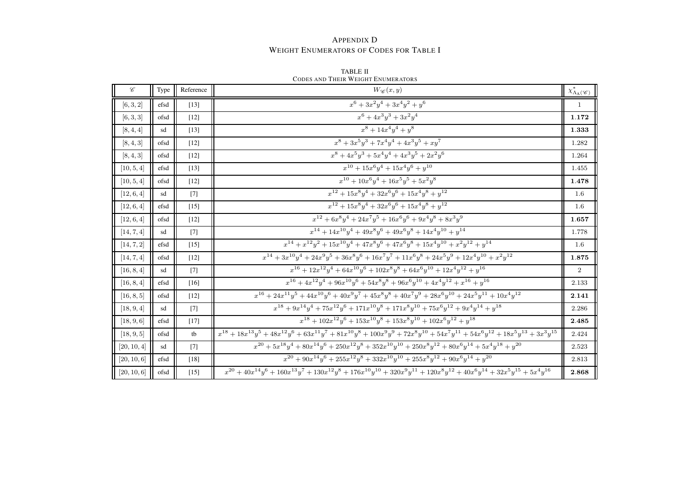## **APPENDIX D** WEIGHT ENUMERATORS OF CODES FOR TABLE I

| $\mathscr C$ | Type | Reference         | $W_{\mathscr{C}}(x,y)$                                                                                                                            | $\chi^*_{\Lambda_{\underline{A}}(\mathscr{C})}$ |
|--------------|------|-------------------|---------------------------------------------------------------------------------------------------------------------------------------------------|-------------------------------------------------|
| [6, 3, 2]    | efsd | $[13]$            | $x^6 + 3x^2y^4 + 3x^4y^2 + y^6$                                                                                                                   | $\mathbf{1}$                                    |
| [6, 3, 3]    | ofsd | [12]              | $x^6 + 4x^3y^3 + 3x^2y^4$                                                                                                                         | 1.172                                           |
| [8, 4, 4]    | sd   | $[13]$            | $x^8 + 14x^4y^4 + y^8$                                                                                                                            | 1.333                                           |
| [8, 4, 3]    | ofsd | $[12]$            | $x^8 + 3x^5y^3 + 7x^4y^4 + 4x^3y^5 + xy^7$                                                                                                        | 1.282                                           |
| [8, 4, 3]    | ofsd | $[12]$            | $x^8 + 4x^5y^3 + 5x^4y^4 + 4x^3y^5 + 2x^2y^6$                                                                                                     | 1.264                                           |
| [10, 5, 4]   | efsd | $[13]$            | $x^{10} + 15x^6y^4 + 15x^4y^6 + y^{10}$                                                                                                           | 1.455                                           |
| [10, 5, 4]   | ofsd | $[12]$            | $x^{10} + 10x^6y^4 + 16x^5y^5 + 5x^2y^8$                                                                                                          | 1.478                                           |
| [12, 6, 4]   | sd   | $[7]$             | $x^{12} + 15x^8y^4 + 32x^6y^6 + 15x^4y^8 + y^{12}$                                                                                                | 1.6                                             |
| [12, 6, 4]   | efsd | $[15]$            | $x^{12} + 15x^8y^4 + 32x^6y^6 + 15x^4y^8 + y^{12}$                                                                                                | 1.6                                             |
| [12, 6, 4]   | ofsd | $[12]$            | $x^{12} + 6x^8y^4 + 24x^7y^5 + 16x^6y^6 + 9x^4y^8 + 8x^3y^9$                                                                                      | 1.657                                           |
| [14, 7, 4]   | sd   | $\lceil 7 \rceil$ | $x^{14} + 14x^{10}y^4 + 49x^8y^6 + 49x^6y^8 + 14x^4y^{10} + y^{14}$                                                                               | 1.778                                           |
| [14, 7, 2]   | efsd | $[15]$            | $x^{14} + x^{12}y^2 + 15x^{10}y^4 + 47x^8y^6 + 47x^6y^8 + 15x^4y^{10} + x^2y^{12} + y^{14}$                                                       | 1.6                                             |
| [14, 7, 4]   | ofsd | $[12]$            | $x^{14} + 3x^{10}y^4 + 24x^9y^5 + 36x^8y^6 + 16x^7y^7 + 11x^6y^8 + 24x^5y^9 + 12x^4y^{10} + x^2y^{12}$                                            | 1.875                                           |
| [16, 8, 4]   | sd   | $[7]$             | $x^{16} + 12x^{12}y^4 + 64x^{10}y^6 + 102x^8y^8 + 64x^6y^{10} + 12x^4y^{12} + y^{16}$                                                             | $\overline{2}$                                  |
| [16, 8, 4]   | efsd | [16]              | $x^{16} + 4x^{12}y^4 + 96x^{10}y^6 + 54x^8y^8 + 96x^6y^{10} + 4x^4y^{12} + x^{16} + y^{16}$                                                       | 2.133                                           |
| [16, 8, 5]   | ofsd | $[12]$            | $x^{16} + 24x^{11}y^5 + 44x^{10}y^6 + 40x^9y^7 + 45x^8y^8 + 40x^7y^9 + 28x^6y^{10} + 24x^5y^{11} + 10x^4y^{12}$                                   | 2.141                                           |
| [18, 9, 4]   | sd   | $[7]$             | $x^{18} + 9x^{14}y^4 + 75x^{12}y^6 + 171x^{10}y^8 + 171x^8y^{10} + 75x^6y^{12} + 9x^4y^{14} + y^{18}$                                             | 2.286                                           |
| [18, 9, 6]   | efsd | $[17]$            | $x^{18} + 102x^{12}y^6 + 153x^{10}y^8 + 153x^8y^{10} + 102x^6y^{12} + y^{18}$                                                                     | 2.485                                           |
| [18, 9, 5]   | ofsd | tb                | $x^{18} + 18x^{13}y^5 + 48x^{12}y^6 + 63x^{11}y^7 + 81x^{10}y^8 + 100x^9y^9 + 72x^8y^{10} + 54x^7y^{11} + 54x^6y^{12} + 18x^5y^{13} + 3x^3y^{15}$ | 2.424                                           |
| [20, 10, 4]  | sd   | $[7]$             | $x^{20} + 5x^{18}y^4 + 80x^{14}y^6 + 250x^{12}y^8 + 352x^{10}y^{10} + 250x^8y^{12} + 80x^6y^{14} + 5x^4y^{18} + y^{20}$                           | 2.523                                           |
| [20, 10, 6]  | efsd | $[18]$            | $x^{20} + 90x^{14}y^6 + 255x^{12}y^8 + 332x^{10}y^{10} + 255x^8y^{12} + 90x^6y^{14} + y^{20}$                                                     | 2.813                                           |
| [20, 10, 6]  | ofsd | $[15]$            | $x^{20} + 40x^{14}y^6 + 160x^{13}y^7 + 130x^{12}y^8 + 176x^{10}y^{10} + 320x^9y^{11} + 120x^8y^{12} + 40x^6y^{14} + 32x^5y^{15} + 5x^4y^{16}$     | 2.868                                           |

<span id="page-8-0"></span>**TABLE II** CODES AND THEIR WEIGHT ENUMERATORS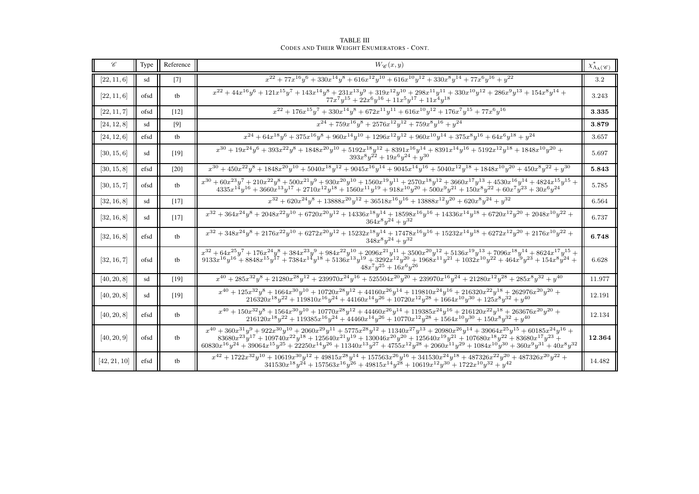| $\mathscr C$ | Type | Reference         | $W_{\mathscr{C}}(x,y)$                                                                                                                                                                                                                                                                                                                                                                                                                                                                           | $\chi^*_{\Lambda_{\underline{A}}(\mathscr{C})}$ |
|--------------|------|-------------------|--------------------------------------------------------------------------------------------------------------------------------------------------------------------------------------------------------------------------------------------------------------------------------------------------------------------------------------------------------------------------------------------------------------------------------------------------------------------------------------------------|-------------------------------------------------|
| [22, 11, 6]  | sd   | $\lceil 7 \rceil$ | $x^{22} + 77x^{16}y^6 + 330x^{14}y^8 + 616x^{12}y^{10} + 616x^{10}y^{12} + 330x^8y^{14} + 77x^6y^{16} + y^{22}$                                                                                                                                                                                                                                                                                                                                                                                  | 3.2                                             |
| [22, 11, 6]  | ofsd | tb                | $x^{22} + 44x^{16}y^6 + 121x^{15}y^7 + 143x^{14}y^8 + 231x^{13}y^9 + 319x^{12}y^{10} + 298x^{11}y^{11} + 330x^{10}y^{12} + 286x^9y^{13} + 154x^8y^{14} +$<br>$77x^7y^{15} + 22x^6y^{16} + 11x^5y^{17} + 11x^4y^{18}$                                                                                                                                                                                                                                                                             | 3.243                                           |
| [22, 11, 7]  | ofsd | [12]              | $x^{22}+176x^{15}y^7+330x^{14}y^8+672x^{11}y^{11}+616x^{10}y^{12}+176x^7y^{15}+77x^6y^{16} \\$                                                                                                                                                                                                                                                                                                                                                                                                   | 3.335                                           |
| [24, 12, 8]  | sd   | [9]               | $x^{24} + 759x^{16}y^8 + 2576x^{12}y^{12} + 759x^8y^{16} + y^{24}$                                                                                                                                                                                                                                                                                                                                                                                                                               | 3.879                                           |
| [24, 12, 6]  | efsd | tb                | $x^{24} + 64x^{18}y^6 + 375x^{16}y^8 + 960x^{14}y^{10} + 1296x^{12}y^{12} + 960x^{10}y^{14} + 375x^8y^{16} + 64x^6y^{18} + y^{24}$                                                                                                                                                                                                                                                                                                                                                               | 3.657                                           |
| [30, 15, 6]  | sd   | $[19]$            | $x^{30} + 19x^{24}y^6 + 393x^{22}y^8 + 1848x^{20}y^{10} + 5192x^{18}y^{12} + 8391x^{16}y^{14} + 8391x^{14}y^{16} + 5192x^{12}y^{18} + 1848x^{10}y^{20} +$<br>$393x^{8}y^{22} + 19x^{6}y^{24} + y^{30}$                                                                                                                                                                                                                                                                                           | 5.697                                           |
| [30, 15, 8]  | efsd | $[20]$            | $x^{30} + 450x^{22}y^8 + 1848x^{20}y^{10} + 5040x^{18}y^{12} + 9045x^{16}y^{14} + 9045x^{14}y^{16} + 5040x^{12}y^{18} + 1848x^{10}y^{20} + 450x^8y^{22} + y^{30}$                                                                                                                                                                                                                                                                                                                                | 5.843                                           |
| [30, 15, 7]  | ofsd | tb                | $x^{30} + 60x^{23}y^7 + 210x^{22}y^8 + 500x^{21}y^9 + 930x^{20}y^{10} + 1560x^{19}y^{11} + 2570x^{18}y^{12} + 3660x^{17}y^{13} + 4530x^{16}y^{14} + 4824x^{15}y^{15} +$<br>${4335 x^{14} y^{16}+3660 x^{13} y^{17}+2710 x^{12} y^{18}+1560 x^{11} y^{19}+918 x^{10} y^{20}+500 x^9 y^{21}+150 x^8 y^{22}+60 x^7 y^{23}+30 x^6 y^{24}}$                                                                                                                                                           | 5.785                                           |
| [32, 16, 8]  | sd   | [17]              | $x^{32} + 620x^{24}y^8 + 13888x^{20}y^{12} + 36518x^{16}y^{16} + 13888x^{12}y^{20} + 620x^8y^{24} + y^{32}$                                                                                                                                                                                                                                                                                                                                                                                      | 6.564                                           |
| [32, 16, 8]  | sd   | $[17]$            | $x^{32} + 364 x^{24} y^8 + 2048 x^{22} y^{10} + 6720 x^{20} y^{12} + 14336 x^{18} y^{14} + 18598 x^{16} y^{16} + 14336 x^{14} y^{18} + 6720 x^{12} y^{20} + 2048 x^{10} y^{22} +$<br>$364x^8y^{24} + y^{32}$                                                                                                                                                                                                                                                                                     | 6.737                                           |
| [32, 16, 8]  | efsd | tb                | $x^{32} + 348x^{24}y^8 + 2176x^{22}y^{10} + 6272x^{20}y^{12} + 15232x^{18}y^{14} + 17478x^{16}y^{16} + 15232x^{14}y^{18} + 6272x^{12}y^{20} + 2176x^{10}y^{22} +$<br>$348x^8y^{24} + y^{32}$                                                                                                                                                                                                                                                                                                     | 6.748                                           |
| [32, 16, 7]  | ofsd | tb                | $x^{32} + 64x^{25}y^7 + 176x^{24}y^8 + 384x^{23}y^9 + 984x^{22}y^{10} + 2096x^{21}y^{11} + 3500x^{20}y^{12} + 5136x^{19}y^{13} + 7096x^{18}y^{14} + 8624x^{17}y^{15} +$<br>$9133x^{16}y^{16} + 8848x^{15}y^{17} + 7384x^{14}y^{18} + 5136x^{13}y^{19} + 3292x^{12}y^{20} + 1968x^{11}y^{21} + 1032x^{10}y^{22} + 464x^9y^{23} + 154x^8y^{24} +$<br>$48x^7y^{25} + 16x^6y^{26}$                                                                                                                   | 6.628                                           |
| [40, 20, 8]  | sd   | $[19]$            | $x^{40} + 285x^{32}y^8 + 21280x^{28}y^{12} + 239970x^{24}y^{16} + 525504x^{20}y^{20} + 239970x^{16}y^{24} + 21280x^{12}y^{28} + 285x^8y^{32} + y^{40}$                                                                                                                                                                                                                                                                                                                                           | 11.977                                          |
| [40, 20, 8]  | sd   | $[19]$            | $x^{40} + 125x^{32}y^8 + 1664x^{30}y^{10} + 10720x^{28}y^{12} + 44160x^{26}y^{14} + 119810x^{24}y^{16} + 216320x^{22}y^{18} + 262976x^{20}y^{20} +$<br>$216320x^{18}y^{22} + 119810x^{16}y^{24} + 44160x^{14}y^{26} + 10720x^{12}y^{28} + 1664x^{10}y^{30} + 125x^8y^{32} + y^{40}$                                                                                                                                                                                                              | 12.191                                          |
| [40, 20, 8]  | efsd | tb                | $x^{40} + 150x^{32}y^8 + 1564x^{30}y^{10} + 10770x^{28}y^{12} + 44460x^{26}y^{14} + 119385x^{24}y^{16} + 216120x^{22}y^{18} + 263676x^{20}y^{20} +$<br>$216120x^{18}y^{22} + 119385x^{16}y^{24} + 44460x^{14}y^{26} + 10770x^{12}y^{28} + 1564x^{10}y^{30} + 150x^8y^{32} + y^{40}$                                                                                                                                                                                                              | 12.134                                          |
| [40, 20, 9]  | ofsd | tb                | $x^{40} + 360x^{31}y^9 + 922x^{30}y^{10} + 2060x^{29}y^{11} + 5775x^{28}y^{12} + 11340x^{27}y^{13} + 20980x^{26}y^{14} + 39064x^{25}y^{15} + 60185x^{24}y^{16} +$<br>$83680x^{23}y^{17} + 109740x^{22}y^{18} + 125640x^{21}y^{19} + 130046x^{20}y^{20} + 125640x^{19}y^{21} + 107680x^{18}y^{22} + 83680x^{17}y^{23} +$<br>$60830x^{16}y^{24} + 39064x^{15}y^{25} + 22250x^{14}y^{26} + 11340x^{13}y^{27} + 4755x^{12}y^{28} + 2060x^{11}y^{29} + 1084x^{10}y^{30} + 360x^9y^{31} + 40x^8y^{32}$ | 12.364                                          |
| [42, 21, 10] | efsd | tb                | $\begin{aligned} x^{42} + 1722x^{32}y^{10} + 10619x^{30}y^{12} + 49815x^{28}y^{14} + 157563x^{26}y^{16} + 341530x^{24}y^{18} + 487326x^{22}y^{20} + 487326x^{20}y^{22} + \\ 341530x^{18}y^{24} + 157563x^{16}y^{26} + 49815x^{14}y^{28} + 10619x^{12}y^{30} + 1722x^{10}y^{32} +$                                                                                                                                                                                                                | 14.482                                          |

**TABLE III** CODES AND THEIR WEIGHT ENUMERATORS - CONT.